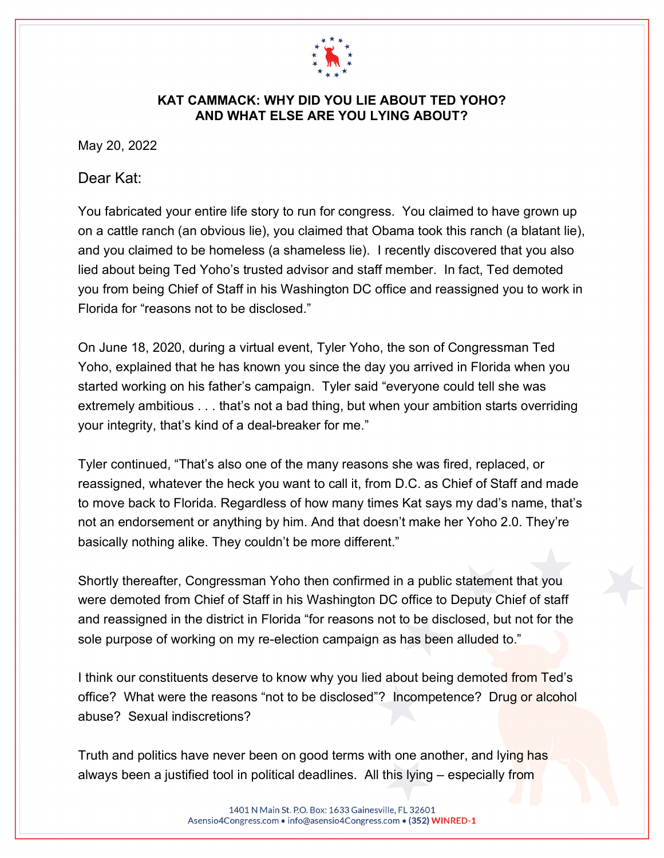

## **KAT CAMMACK: WHY DID YOU LIE ABOUT TED YOHO? AND WHAT ELSE ARE YOU LYING ABOUT?**

May 20, 2022

## Dear Kat:

You fabricated your entire life story to run for congress. You claimed to have grown up on a cattle ranch (an obvious lie), you claimed that Obama took this ranch (a blatant lie), and you claimed to be homeless (a shameless lie). I recently discovered that you also lied about being Ted Yoho's trusted advisor and staff member. In fact, Ted demoted you from being Chief of Staff in his Washington DC office and reassigned you to work in Florida for "reasons not to be disclosed."

On June 18, 2020, during a virtual event, Tyler Yoho, the son of Congressman Ted Yoho, explained that he has known you since the day you arrived in Florida when you started working on his father's campaign. Tyler said "everyone could tell she was extremely ambitious . . . that's not a bad thing, but when your ambition starts overriding your integrity, that's kind of a deal-breaker for me."

Tyler continued, "That's also one of the many reasons she was fired, replaced, or reassigned, whatever the heck you want to call it, from D.C. as Chief of Staff and made to move back to Florida. Regardless of how many times Kat says my dad's name, that's not an endorsement or anything by him. And that doesn't make her Yoho 2.0. They're basically nothing alike. They couldn't be more different."

Shortly thereafter, Congressman Yoho then confirmed in a public statement that you were demoted from Chief of Staff in his Washington DC office to Deputy Chief of staff and reassigned in the district in Florida "for reasons not to be disclosed, but not for the sole purpose of working on my re-election campaign as has been alluded to."

I think our constituents deserve to know why you lied about being demoted from Ted's office? What were the reasons "not to be disclosed"? Incompetence? Drug or alcohol abuse? Sexual indiscretions?

Truth and politics have never been on good terms with one another, and lying has always been a justified tool in political deadlines. All this lying – especially from

> 1401 N Main St. P.O. Box: 1633 Gainesville, FL 32601 Asensio4Congress.com · info@asensio4Congress.com · (352) WINRED-1